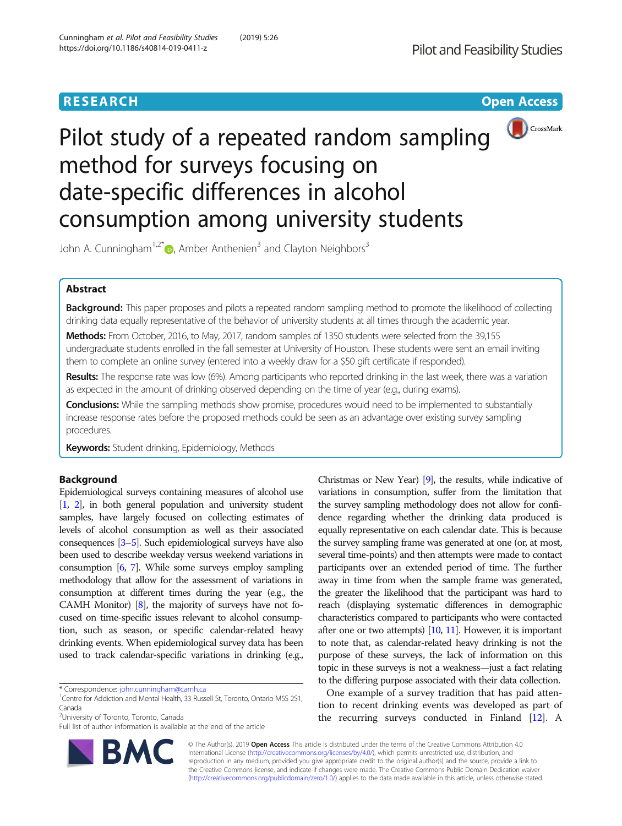# **RESEARCH CHEAR CHEAR CHEAR CHEAR CHEAR CHEAR CHEAR CHEAR CHEAR CHEAR CHEAR CHEAR CHEAR CHEAR CHEAR CHEAR CHEAR**



# Pilot study of a repeated random sampling method for surveys focusing on date-specific differences in alcohol consumption among university students

John A. Cunningham<sup>1,2[\\*](http://orcid.org/0000-0002-0668-5982)</sup>  $\bullet$ , Amber Anthenien<sup>3</sup> and Clayton Neighbors<sup>3</sup>

# Abstract

Background: This paper proposes and pilots a repeated random sampling method to promote the likelihood of collecting drinking data equally representative of the behavior of university students at all times through the academic year.

Methods: From October, 2016, to May, 2017, random samples of 1350 students were selected from the 39,155 undergraduate students enrolled in the fall semester at University of Houston. These students were sent an email inviting them to complete an online survey (entered into a weekly draw for a \$50 gift certificate if responded).

Results: The response rate was low (6%). Among participants who reported drinking in the last week, there was a variation as expected in the amount of drinking observed depending on the time of year (e.g., during exams).

Conclusions: While the sampling methods show promise, procedures would need to be implemented to substantially increase response rates before the proposed methods could be seen as an advantage over existing survey sampling procedures.

Keywords: Student drinking, Epidemiology, Methods

# Background

Epidemiological surveys containing measures of alcohol use [[1](#page-4-0), [2\]](#page-4-0), in both general population and university student samples, have largely focused on collecting estimates of levels of alcohol consumption as well as their associated consequences [[3](#page-4-0)–[5](#page-4-0)]. Such epidemiological surveys have also been used to describe weekday versus weekend variations in consumption [\[6](#page-4-0), [7\]](#page-4-0). While some surveys employ sampling methodology that allow for the assessment of variations in consumption at different times during the year (e.g., the CAMH Monitor) [\[8\]](#page-4-0), the majority of surveys have not focused on time-specific issues relevant to alcohol consumption, such as season, or specific calendar-related heavy drinking events. When epidemiological survey data has been used to track calendar-specific variations in drinking (e.g.,

<sup>2</sup>University of Toronto, Toronto, Canada

Full list of author information is available at the end of the article



Christmas or New Year) [[9](#page-4-0)], the results, while indicative of variations in consumption, suffer from the limitation that the survey sampling methodology does not allow for confidence regarding whether the drinking data produced is equally representative on each calendar date. This is because the survey sampling frame was generated at one (or, at most, several time-points) and then attempts were made to contact participants over an extended period of time. The further away in time from when the sample frame was generated, the greater the likelihood that the participant was hard to reach (displaying systematic differences in demographic characteristics compared to participants who were contacted after one or two attempts)  $[10, 11]$  $[10, 11]$  $[10, 11]$  $[10, 11]$ . However, it is important to note that, as calendar-related heavy drinking is not the purpose of these surveys, the lack of information on this topic in these surveys is not a weakness—just a fact relating to the differing purpose associated with their data collection.

One example of a survey tradition that has paid attention to recent drinking events was developed as part of the recurring surveys conducted in Finland [[12](#page-4-0)]. A

© The Author(s). 2019 Open Access This article is distributed under the terms of the Creative Commons Attribution 4.0 International License [\(http://creativecommons.org/licenses/by/4.0/](http://creativecommons.org/licenses/by/4.0/)), which permits unrestricted use, distribution, and reproduction in any medium, provided you give appropriate credit to the original author(s) and the source, provide a link to the Creative Commons license, and indicate if changes were made. The Creative Commons Public Domain Dedication waiver [\(http://creativecommons.org/publicdomain/zero/1.0/](http://creativecommons.org/publicdomain/zero/1.0/)) applies to the data made available in this article, unless otherwise stated.

<sup>\*</sup> Correspondence: [john.cunningham@camh.ca](mailto:john.cunningham@camh.ca) <sup>1</sup>

<sup>&</sup>lt;sup>1</sup> Centre for Addiction and Mental Health, 33 Russell St, Toronto, Ontario M5S 2S1, Canada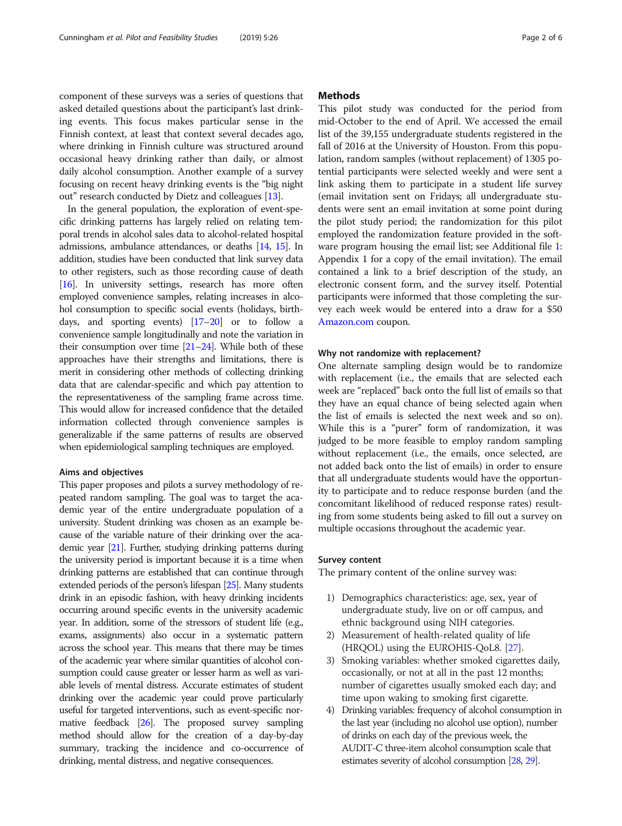component of these surveys was a series of questions that asked detailed questions about the participant's last drinking events. This focus makes particular sense in the Finnish context, at least that context several decades ago, where drinking in Finnish culture was structured around occasional heavy drinking rather than daily, or almost daily alcohol consumption. Another example of a survey focusing on recent heavy drinking events is the "big night out" research conducted by Dietz and colleagues [\[13\]](#page-4-0).

In the general population, the exploration of event-specific drinking patterns has largely relied on relating temporal trends in alcohol sales data to alcohol-related hospital admissions, ambulance attendances, or deaths [\[14,](#page-4-0) [15](#page-4-0)]. In addition, studies have been conducted that link survey data to other registers, such as those recording cause of death [[16](#page-4-0)]. In university settings, research has more often employed convenience samples, relating increases in alcohol consumption to specific social events (holidays, birthdays, and sporting events) [[17](#page-4-0)–[20](#page-4-0)] or to follow a convenience sample longitudinally and note the variation in their consumption over time [[21](#page-4-0)–[24](#page-5-0)]. While both of these approaches have their strengths and limitations, there is merit in considering other methods of collecting drinking data that are calendar-specific and which pay attention to the representativeness of the sampling frame across time. This would allow for increased confidence that the detailed information collected through convenience samples is generalizable if the same patterns of results are observed when epidemiological sampling techniques are employed.

# Aims and objectives

This paper proposes and pilots a survey methodology of repeated random sampling. The goal was to target the academic year of the entire undergraduate population of a university. Student drinking was chosen as an example because of the variable nature of their drinking over the academic year [\[21\]](#page-4-0). Further, studying drinking patterns during the university period is important because it is a time when drinking patterns are established that can continue through extended periods of the person's lifespan [[25](#page-5-0)]. Many students drink in an episodic fashion, with heavy drinking incidents occurring around specific events in the university academic year. In addition, some of the stressors of student life (e.g., exams, assignments) also occur in a systematic pattern across the school year. This means that there may be times of the academic year where similar quantities of alcohol consumption could cause greater or lesser harm as well as variable levels of mental distress. Accurate estimates of student drinking over the academic year could prove particularly useful for targeted interventions, such as event-specific normative feedback [\[26\]](#page-5-0). The proposed survey sampling method should allow for the creation of a day-by-day summary, tracking the incidence and co-occurrence of drinking, mental distress, and negative consequences.

# **Methods**

This pilot study was conducted for the period from mid-October to the end of April. We accessed the email list of the 39,155 undergraduate students registered in the fall of 2016 at the University of Houston. From this population, random samples (without replacement) of 1305 potential participants were selected weekly and were sent a link asking them to participate in a student life survey (email invitation sent on Fridays; all undergraduate students were sent an email invitation at some point during the pilot study period; the randomization for this pilot employed the randomization feature provided in the software program housing the email list; see Additional file [1](#page-4-0): Appendix 1 for a copy of the email invitation). The email contained a link to a brief description of the study, an electronic consent form, and the survey itself. Potential participants were informed that those completing the survey each week would be entered into a draw for a \$50 [Amazon.com](http://amazon.com) coupon.

# Why not randomize with replacement?

One alternate sampling design would be to randomize with replacement (i.e., the emails that are selected each week are "replaced" back onto the full list of emails so that they have an equal chance of being selected again when the list of emails is selected the next week and so on). While this is a "purer" form of randomization, it was judged to be more feasible to employ random sampling without replacement (i.e., the emails, once selected, are not added back onto the list of emails) in order to ensure that all undergraduate students would have the opportunity to participate and to reduce response burden (and the concomitant likelihood of reduced response rates) resulting from some students being asked to fill out a survey on multiple occasions throughout the academic year.

# Survey content

The primary content of the online survey was:

- 1) Demographics characteristics: age, sex, year of undergraduate study, live on or off campus, and ethnic background using NIH categories.
- 2) Measurement of health-related quality of life (HRQOL) using the EUROHIS-QoL8. [[27](#page-5-0)].
- 3) Smoking variables: whether smoked cigarettes daily, occasionally, or not at all in the past 12 months; number of cigarettes usually smoked each day; and time upon waking to smoking first cigarette.
- 4) Drinking variables: frequency of alcohol consumption in the last year (including no alcohol use option), number of drinks on each day of the previous week, the AUDIT-C three-item alcohol consumption scale that estimates severity of alcohol consumption [[28,](#page-5-0) [29](#page-5-0)].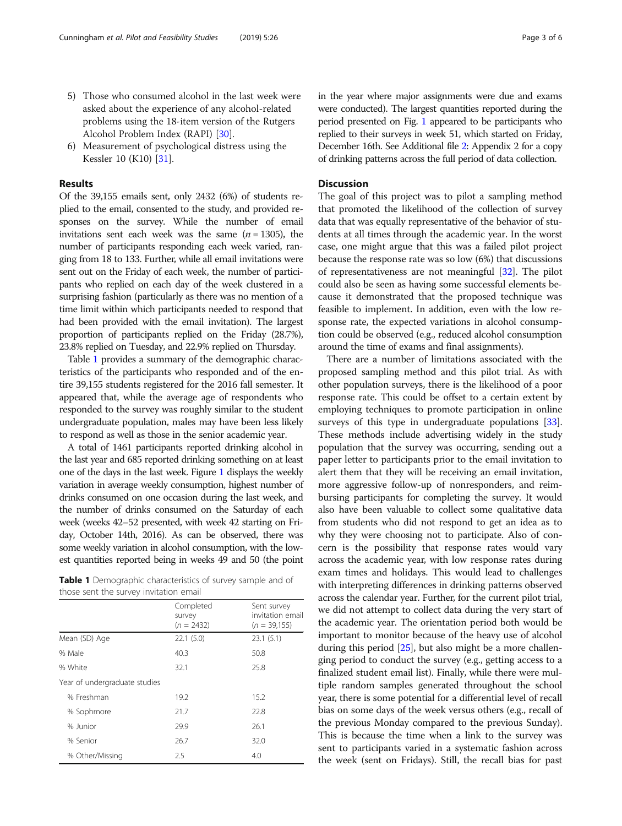- 5) Those who consumed alcohol in the last week were asked about the experience of any alcohol-related problems using the 18-item version of the Rutgers Alcohol Problem Index (RAPI) [[30](#page-5-0)].
- 6) Measurement of psychological distress using the Kessler 10 (K10) [[31](#page-5-0)].

# Results

Of the 39,155 emails sent, only 2432 (6%) of students replied to the email, consented to the study, and provided responses on the survey. While the number of email invitations sent each week was the same  $(n = 1305)$ , the number of participants responding each week varied, ranging from 18 to 133. Further, while all email invitations were sent out on the Friday of each week, the number of participants who replied on each day of the week clustered in a surprising fashion (particularly as there was no mention of a time limit within which participants needed to respond that had been provided with the email invitation). The largest proportion of participants replied on the Friday (28.7%), 23.8% replied on Tuesday, and 22.9% replied on Thursday.

Table 1 provides a summary of the demographic characteristics of the participants who responded and of the entire 39,155 students registered for the 2016 fall semester. It appeared that, while the average age of respondents who responded to the survey was roughly similar to the student undergraduate population, males may have been less likely to respond as well as those in the senior academic year.

A total of 1461 participants reported drinking alcohol in the last year and 685 reported drinking something on at least one of the days in the last week. Figure [1](#page-3-0) displays the weekly variation in average weekly consumption, highest number of drinks consumed on one occasion during the last week, and the number of drinks consumed on the Saturday of each week (weeks 42–52 presented, with week 42 starting on Friday, October 14th, 2016). As can be observed, there was some weekly variation in alcohol consumption, with the lowest quantities reported being in weeks 49 and 50 (the point

Table 1 Demographic characteristics of survey sample and of those sent the survey invitation email

|                               | Completed<br>survey<br>$(n = 2432)$ | Sent survey<br>invitation email<br>$(n = 39,155)$ |
|-------------------------------|-------------------------------------|---------------------------------------------------|
| Mean (SD) Age                 | 22.1(5.0)                           | 23.1(5.1)                                         |
| % Male                        | 40.3                                | 50.8                                              |
| % White                       | 32.1                                | 25.8                                              |
| Year of undergraduate studies |                                     |                                                   |
| % Freshman                    | 19.2                                | 15.2                                              |
| % Sophmore                    | 21.7                                | 22.8                                              |
| % Junior                      | 29.9                                | 26.1                                              |
| % Senior                      | 26.7                                | 32.0                                              |
| % Other/Missing               | 2.5                                 | 4.0                                               |

in the year where major assignments were due and exams were conducted). The largest quantities reported during the period presented on Fig. [1](#page-3-0) appeared to be participants who replied to their surveys in week 51, which started on Friday, December 16th. See Additional file [2:](#page-4-0) Appendix 2 for a copy of drinking patterns across the full period of data collection.

# **Discussion**

The goal of this project was to pilot a sampling method that promoted the likelihood of the collection of survey data that was equally representative of the behavior of students at all times through the academic year. In the worst case, one might argue that this was a failed pilot project because the response rate was so low (6%) that discussions of representativeness are not meaningful  $[32]$  $[32]$ . The pilot could also be seen as having some successful elements because it demonstrated that the proposed technique was feasible to implement. In addition, even with the low response rate, the expected variations in alcohol consumption could be observed (e.g., reduced alcohol consumption around the time of exams and final assignments).

There are a number of limitations associated with the proposed sampling method and this pilot trial. As with other population surveys, there is the likelihood of a poor response rate. This could be offset to a certain extent by employing techniques to promote participation in online surveys of this type in undergraduate populations [[33](#page-5-0)]. These methods include advertising widely in the study population that the survey was occurring, sending out a paper letter to participants prior to the email invitation to alert them that they will be receiving an email invitation, more aggressive follow-up of nonresponders, and reimbursing participants for completing the survey. It would also have been valuable to collect some qualitative data from students who did not respond to get an idea as to why they were choosing not to participate. Also of concern is the possibility that response rates would vary across the academic year, with low response rates during exam times and holidays. This would lead to challenges with interpreting differences in drinking patterns observed across the calendar year. Further, for the current pilot trial, we did not attempt to collect data during the very start of the academic year. The orientation period both would be important to monitor because of the heavy use of alcohol during this period [\[25](#page-5-0)], but also might be a more challenging period to conduct the survey (e.g., getting access to a finalized student email list). Finally, while there were multiple random samples generated throughout the school year, there is some potential for a differential level of recall bias on some days of the week versus others (e.g., recall of the previous Monday compared to the previous Sunday). This is because the time when a link to the survey was sent to participants varied in a systematic fashion across the week (sent on Fridays). Still, the recall bias for past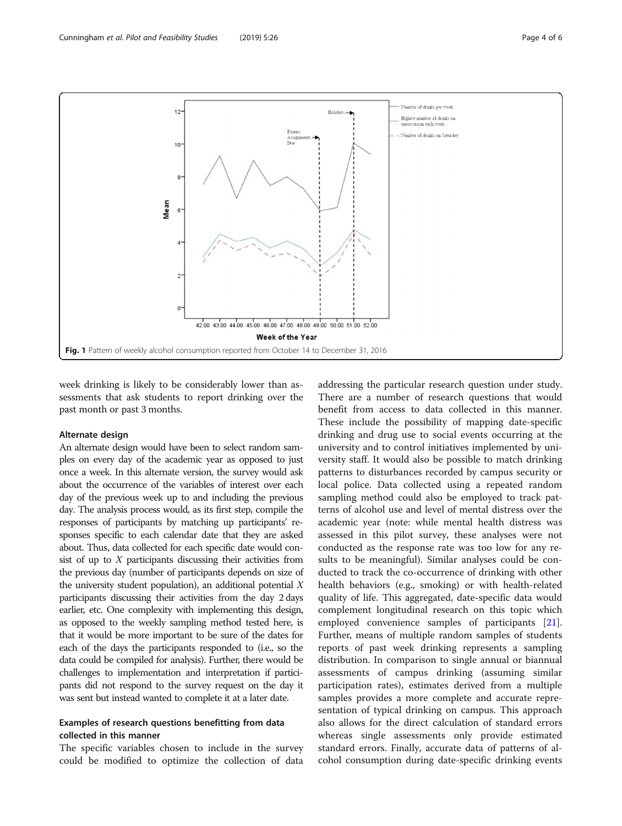<span id="page-3-0"></span>

week drinking is likely to be considerably lower than assessments that ask students to report drinking over the past month or past 3 months.

# Alternate design

An alternate design would have been to select random samples on every day of the academic year as opposed to just once a week. In this alternate version, the survey would ask about the occurrence of the variables of interest over each day of the previous week up to and including the previous day. The analysis process would, as its first step, compile the responses of participants by matching up participants' responses specific to each calendar date that they are asked about. Thus, data collected for each specific date would consist of up to  $X$  participants discussing their activities from the previous day (number of participants depends on size of the university student population), an additional potential  $X$ participants discussing their activities from the day 2 days earlier, etc. One complexity with implementing this design, as opposed to the weekly sampling method tested here, is that it would be more important to be sure of the dates for each of the days the participants responded to (i.e., so the data could be compiled for analysis). Further, there would be challenges to implementation and interpretation if participants did not respond to the survey request on the day it was sent but instead wanted to complete it at a later date.

# Examples of research questions benefitting from data collected in this manner

The specific variables chosen to include in the survey could be modified to optimize the collection of data

addressing the particular research question under study. There are a number of research questions that would benefit from access to data collected in this manner. These include the possibility of mapping date-specific drinking and drug use to social events occurring at the university and to control initiatives implemented by university staff. It would also be possible to match drinking patterns to disturbances recorded by campus security or local police. Data collected using a repeated random sampling method could also be employed to track patterns of alcohol use and level of mental distress over the academic year (note: while mental health distress was assessed in this pilot survey, these analyses were not conducted as the response rate was too low for any results to be meaningful). Similar analyses could be conducted to track the co-occurrence of drinking with other health behaviors (e.g., smoking) or with health-related quality of life. This aggregated, date-specific data would complement longitudinal research on this topic which employed convenience samples of participants [\[21](#page-4-0)]. Further, means of multiple random samples of students reports of past week drinking represents a sampling distribution. In comparison to single annual or biannual assessments of campus drinking (assuming similar participation rates), estimates derived from a multiple samples provides a more complete and accurate representation of typical drinking on campus. This approach also allows for the direct calculation of standard errors whereas single assessments only provide estimated standard errors. Finally, accurate data of patterns of alcohol consumption during date-specific drinking events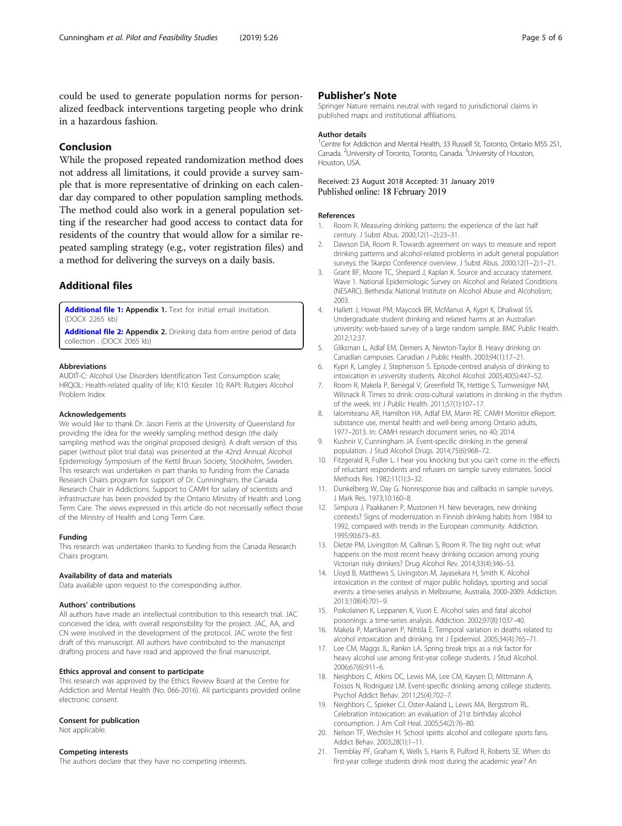<span id="page-4-0"></span>could be used to generate population norms for personalized feedback interventions targeting people who drink

# Conclusion

in a hazardous fashion.

While the proposed repeated randomization method does not address all limitations, it could provide a survey sample that is more representative of drinking on each calendar day compared to other population sampling methods. The method could also work in a general population setting if the researcher had good access to contact data for residents of the country that would allow for a similar repeated sampling strategy (e.g., voter registration files) and a method for delivering the surveys on a daily basis.

# Additional files

[Additional file 1:](https://doi.org/10.1186/s40814-019-0411-z) Appendix 1. Text for initial email invitation. (DOCX 2265 kb)

[Additional file 2:](https://doi.org/10.1186/s40814-019-0411-z) Appendix 2. Drinking data from entire period of data collection . (DOCX 2065 kb)

#### Abbreviations

AUDIT-C: Alcohol Use Disorders Identification Test Consumption scale; HRQOL: Health-related quality of life; K10: Kessler 10; RAPI: Rutgers Alcohol Problem Index

#### Acknowledgements

We would like to thank Dr. Jason Ferris at the University of Queensland for providing the idea for the weekly sampling method design (the daily sampling method was the original proposed design). A draft version of this paper (without pilot trial data) was presented at the 42nd Annual Alcohol Epidemiology Symposium of the Kettil Bruun Society, Stockholm, Sweden. This research was undertaken in part thanks to funding from the Canada Research Chairs program for support of Dr. Cunningham, the Canada Research Chair in Addictions. Support to CAMH for salary of scientists and infrastructure has been provided by the Ontario Ministry of Health and Long Term Care. The views expressed in this article do not necessarily reflect those of the Ministry of Health and Long Term Care.

#### Funding

This research was undertaken thanks to funding from the Canada Research Chairs program.

### Availability of data and materials

Data available upon request to the corresponding author.

#### Authors' contributions

All authors have made an intellectual contribution to this research trial. JAC conceived the idea, with overall responsibility for the project. JAC, AA, and CN were involved in the development of the protocol. JAC wrote the first draft of this manuscript. All authors have contributed to the manuscript drafting process and have read and approved the final manuscript.

# Ethics approval and consent to participate

This research was approved by the Ethics Review Board at the Centre for Addiction and Mental Health (No. 066-2016). All participants provided online electronic consent.

#### Consent for publication

Not applicable.

# Competing interests

The authors declare that they have no competing interests.

# Publisher's Note

Springer Nature remains neutral with regard to jurisdictional claims in published maps and institutional affiliations.

#### Author details

<sup>1</sup> Centre for Addiction and Mental Health, 33 Russell St, Toronto, Ontario M5S 2S1 Canada. <sup>2</sup>University of Toronto, Toronto, Canada. <sup>3</sup>University of Houston Houston, USA.

# Received: 23 August 2018 Accepted: 31 January 2019 Published online: 18 February 2019

#### References

- 1. Room R. Measuring drinking patterns: the experience of the last half century. J Subst Abus. 2000;12(1–2):23–31.
- 2. Dawson DA, Room R. Towards agreement on ways to measure and report drinking patterns and alcohol-related problems in adult general population surveys: the Skarpo Conference overview. J Subst Abus. 2000;12(1–2):1–21.
- 3. Grant BF, Moore TC, Shepard J, Kaplan K. Source and accuracy statement. Wave 1. National Epidemiologic Survey on Alcohol and Related Conditions (NESARC). Bethesda: National Institute on Alcohol Abuse and Alcoholism; 2003.
- 4. Hallett J, Howat PM, Maycock BR, McManus A, Kypri K, Dhaliwal SS. Undergraduate student drinking and related harms at an Australian university: web-based survey of a large random sample. BMC Public Health. 2012;12:37.
- 5. Gliksman L, Adlaf EM, Demers A, Newton-Taylor B. Heavy drinking on Canadian campuses. Canadian J Public Health. 2003;94(1):17–21.
- 6. Kypri K, Langley J, Stephenson S. Episode-centred analysis of drinking to intoxication in university students. Alcohol Alcohol. 2005;40(5):447–52.
- 7. Room R, Makela P, Benegal V, Greenfield TK, Hettige S, Tumwesigye NM, Wilsnack R. Times to drink: cross-cultural variations in drinking in the rhythm of the week. Int J Public Health. 2011;57(1):107–17.
- 8. Ialomiteanu AR, Hamilton HA, Adlaf EM, Mann RE. CAMH Monitor eReport: substance use, mental health and well-being among Ontario adults, 1977–2013. In: CAMH research document series, no 40; 2014.
- 9. Kushnir V, Cunningham JA. Event-specific drinking in the general population. J Stud Alcohol Drugs. 2014;75(6):968–72.
- 10. Fitzgerald R, Fuller L. I hear you knocking but you can't come in: the effects of reluctant respondents and refusers on sample survey estimates. Sociol Methods Res. 1982;11(1):3–32.
- 11. Dunkelberg W, Day G. Nonresponse bias and callbacks in sample surveys. J Mark Res. 1973;10:160–8.
- 12. Simpura J, Paakkanen P, Mustonen H. New beverages, new drinking contexts? Signs of modernization in Finnish drinking habits from 1984 to 1992, compared with trends in the European community. Addiction. 1995;90:673–83.
- 13. Dietze PM, Livingston M, Callinan S, Room R. The big night out: what happens on the most recent heavy drinking occasion among young Victorian risky drinkers? Drug Alcohol Rev. 2014;33(4):346–53.
- 14. Lloyd B, Matthews S, Livingston M, Jayasekara H, Smith K. Alcohol intoxication in the context of major public holidays, sporting and social events: a time-series analysis in Melbourne, Australia, 2000-2009. Addiction. 2013;108(4):701–9.
- 15. Poikolainen K, Leppanen K, Vuori E. Alcohol sales and fatal alcohol poisonings: a time-series analysis. Addiction. 2002;97(8):1037–40.
- 16. Makela P, Martikainen P, Nihtila E. Temporal variation in deaths related to alcohol intoxication and drinking. Int J Epidemiol. 2005;34(4):765–71.
- 17. Lee CM, Maggs JL, Rankin LA. Spring break trips as a risk factor for heavy alcohol use among first-year college students. J Stud Alcohol. 2006;67(6):911–6.
- 18. Neighbors C, Atkins DC, Lewis MA, Lee CM, Kaysen D, Mittmann A, Fossos N, Rodriguez LM. Event-specific drinking among college students. Psychol Addict Behav. 2011;25(4):702–7.
- 19. Neighbors C, Spieker CJ, Oster-Aaland L, Lewis MA, Bergstrom RL. Celebration intoxication: an evaluation of 21st birthday alcohol consumption. J Am Coll Heal. 2005;54(2):76–80.
- 20. Nelson TF, Wechsler H. School spirits: alcohol and collegiate sports fans. Addict Behav. 2003;28(1):1–11.
- 21. Tremblay PF, Graham K, Wells S, Harris R, Pulford R, Roberts SE. When do first-year college students drink most during the academic year? An